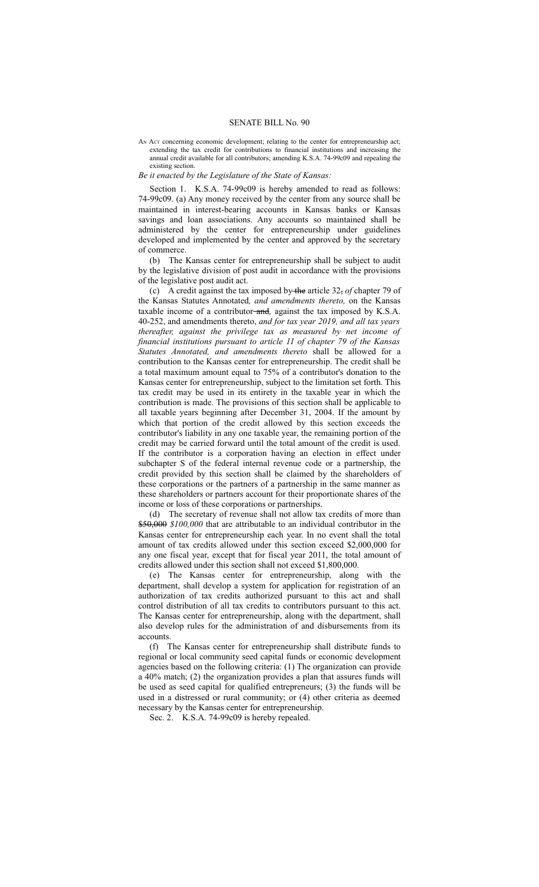AN Act concerning economic development; relating to the center for entrepreneurship act; extending the tax credit for contributions to financial institutions and increasing the annual credit available for all contributors; amending K.S.A. 74-99c09 and repealing the existing section.

## *Be it enacted by the Legislature of the State of Kansas:*

Section 1. K.S.A. 74-99c09 is hereby amended to read as follows: 74-99c09. (a) Any money received by the center from any source shall be maintained in interest-bearing accounts in Kansas banks or Kansas savings and loan associations. Any accounts so maintained shall be administered by the center for entrepreneurship under guidelines developed and implemented by the center and approved by the secretary of commerce.

(b) The Kansas center for entrepreneurship shall be subject to audit by the legislative division of post audit in accordance with the provisions of the legislative post audit act.

(c) A credit against the tax imposed by the article 32, *of* chapter 79 of the Kansas Statutes Annotated*, and amendments thereto,* on the Kansas taxable income of a contributor and*,* against the tax imposed by K.S.A. 40-252, and amendments thereto, *and for tax year 2019, and all tax years thereafter, against the privilege tax as measured by net income of financial institutions pursuant to article 11 of chapter 79 of the Kansas Statutes Annotated, and amendments thereto* shall be allowed for a contribution to the Kansas center for entrepreneurship. The credit shall be a total maximum amount equal to 75% of a contributor's donation to the Kansas center for entrepreneurship, subject to the limitation set forth. This tax credit may be used in its entirety in the taxable year in which the contribution is made. The provisions of this section shall be applicable to all taxable years beginning after December 31, 2004. If the amount by which that portion of the credit allowed by this section exceeds the contributor's liability in any one taxable year, the remaining portion of the credit may be carried forward until the total amount of the credit is used. If the contributor is a corporation having an election in effect under subchapter S of the federal internal revenue code or a partnership, the credit provided by this section shall be claimed by the shareholders of these corporations or the partners of a partnership in the same manner as these shareholders or partners account for their proportionate shares of the income or loss of these corporations or partnerships.

(d) The secretary of revenue shall not allow tax credits of more than \$50,000 *\$100,000* that are attributable to an individual contributor in the Kansas center for entrepreneurship each year. In no event shall the total amount of tax credits allowed under this section exceed \$2,000,000 for any one fiscal year, except that for fiscal year 2011, the total amount of credits allowed under this section shall not exceed \$1,800,000.

(e) The Kansas center for entrepreneurship, along with the department, shall develop a system for application for registration of an authorization of tax credits authorized pursuant to this act and shall control distribution of all tax credits to contributors pursuant to this act. The Kansas center for entrepreneurship, along with the department, shall also develop rules for the administration of and disbursements from its accounts.

(f) The Kansas center for entrepreneurship shall distribute funds to regional or local community seed capital funds or economic development agencies based on the following criteria: (1) The organization can provide a 40% match; (2) the organization provides a plan that assures funds will be used as seed capital for qualified entrepreneurs; (3) the funds will be used in a distressed or rural community; or (4) other criteria as deemed necessary by the Kansas center for entrepreneurship.

Sec. 2. K.S.A. 74-99c09 is hereby repealed.